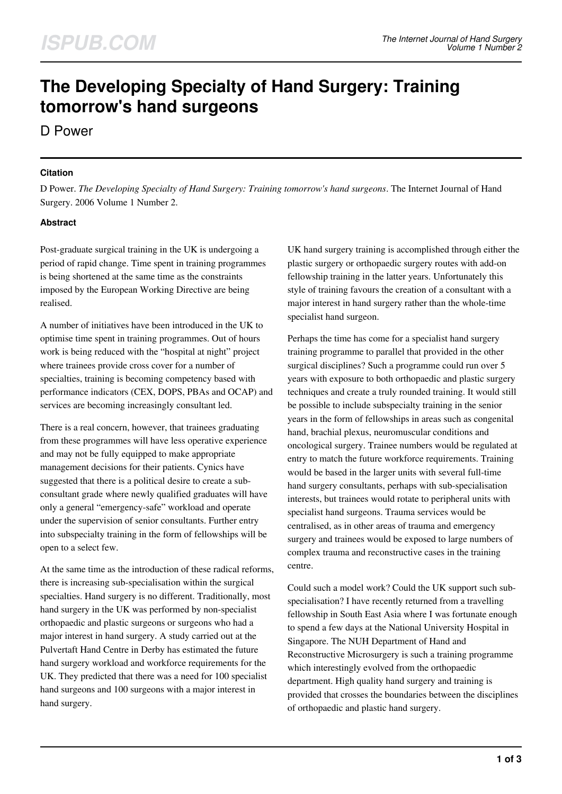# **The Developing Specialty of Hand Surgery: Training tomorrow's hand surgeons**

D Power

#### **Citation**

D Power. *The Developing Specialty of Hand Surgery: Training tomorrow's hand surgeons*. The Internet Journal of Hand Surgery. 2006 Volume 1 Number 2.

## **Abstract**

Post-graduate surgical training in the UK is undergoing a period of rapid change. Time spent in training programmes is being shortened at the same time as the constraints imposed by the European Working Directive are being realised.

A number of initiatives have been introduced in the UK to optimise time spent in training programmes. Out of hours work is being reduced with the "hospital at night" project where trainees provide cross cover for a number of specialties, training is becoming competency based with performance indicators (CEX, DOPS, PBAs and OCAP) and services are becoming increasingly consultant led.

There is a real concern, however, that trainees graduating from these programmes will have less operative experience and may not be fully equipped to make appropriate management decisions for their patients. Cynics have suggested that there is a political desire to create a subconsultant grade where newly qualified graduates will have only a general "emergency-safe" workload and operate under the supervision of senior consultants. Further entry into subspecialty training in the form of fellowships will be open to a select few.

At the same time as the introduction of these radical reforms, there is increasing sub-specialisation within the surgical specialties. Hand surgery is no different. Traditionally, most hand surgery in the UK was performed by non-specialist orthopaedic and plastic surgeons or surgeons who had a major interest in hand surgery. A study carried out at the Pulvertaft Hand Centre in Derby has estimated the future hand surgery workload and workforce requirements for the UK. They predicted that there was a need for 100 specialist hand surgeons and 100 surgeons with a major interest in hand surgery.

UK hand surgery training is accomplished through either the plastic surgery or orthopaedic surgery routes with add-on fellowship training in the latter years. Unfortunately this style of training favours the creation of a consultant with a major interest in hand surgery rather than the whole-time specialist hand surgeon.

Perhaps the time has come for a specialist hand surgery training programme to parallel that provided in the other surgical disciplines? Such a programme could run over 5 years with exposure to both orthopaedic and plastic surgery techniques and create a truly rounded training. It would still be possible to include subspecialty training in the senior years in the form of fellowships in areas such as congenital hand, brachial plexus, neuromuscular conditions and oncological surgery. Trainee numbers would be regulated at entry to match the future workforce requirements. Training would be based in the larger units with several full-time hand surgery consultants, perhaps with sub-specialisation interests, but trainees would rotate to peripheral units with specialist hand surgeons. Trauma services would be centralised, as in other areas of trauma and emergency surgery and trainees would be exposed to large numbers of complex trauma and reconstructive cases in the training centre.

Could such a model work? Could the UK support such subspecialisation? I have recently returned from a travelling fellowship in South East Asia where I was fortunate enough to spend a few days at the National University Hospital in Singapore. The NUH Department of Hand and Reconstructive Microsurgery is such a training programme which interestingly evolved from the orthopaedic department. High quality hand surgery and training is provided that crosses the boundaries between the disciplines of orthopaedic and plastic hand surgery.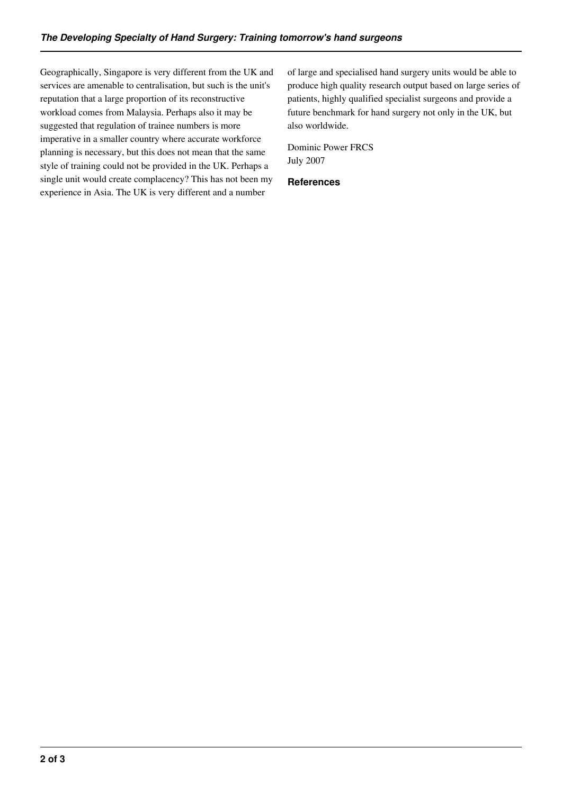Geographically, Singapore is very different from the UK and services are amenable to centralisation, but such is the unit's reputation that a large proportion of its reconstructive workload comes from Malaysia. Perhaps also it may be suggested that regulation of trainee numbers is more imperative in a smaller country where accurate workforce planning is necessary, but this does not mean that the same style of training could not be provided in the UK. Perhaps a single unit would create complacency? This has not been my experience in Asia. The UK is very different and a number

of large and specialised hand surgery units would be able to produce high quality research output based on large series of patients, highly qualified specialist surgeons and provide a future benchmark for hand surgery not only in the UK, but also worldwide.

Dominic Power FRCS July 2007

#### **References**